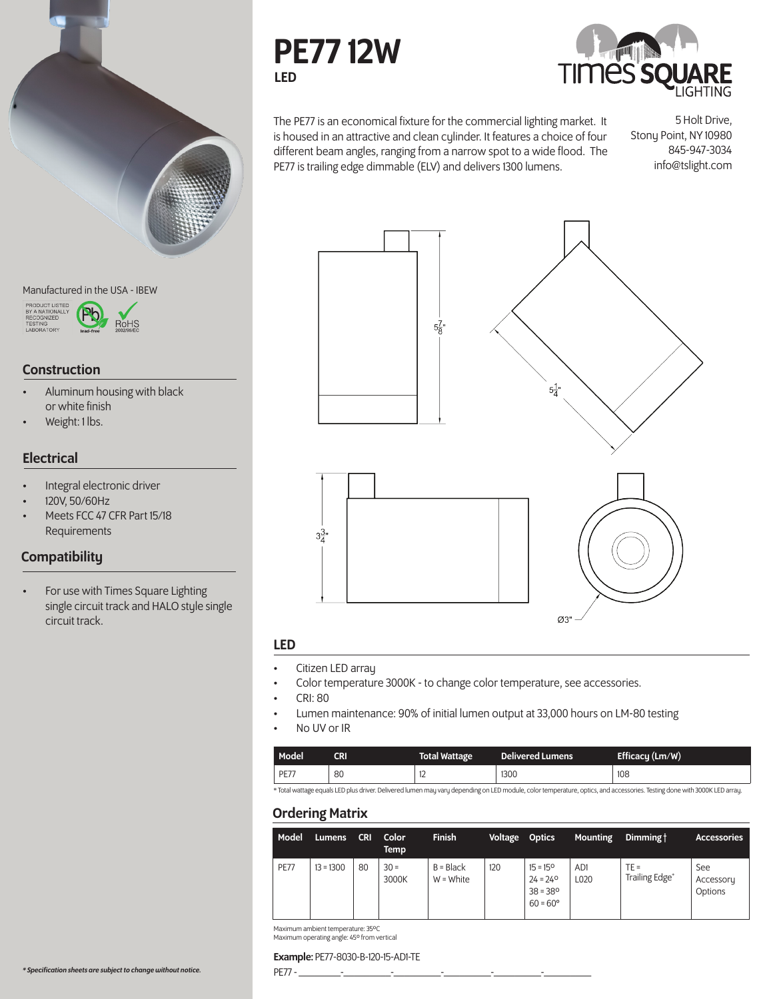

## Manufactured in the USA - IBEW



## Construction

- Aluminum housing with black or white finish
- Weight: 1 lbs.

## **Electrical**

- Integral electronic driver
- 120V, 50/60Hz
- Meets FCC 47 CFR Part 15/18 Requirements

# **Compatibility**

• For use with Times Square Lighting single circuit track and HALO style single circuit track.





The PE77 is an economical fixture for the commercial lighting market. It is housed in an attractive and clean cylinder. It features a choice of four different beam angles, ranging from a narrow spot to a wide flood. The PE77 is trailing edge dimmable (ELV) and delivers 1300 lumens.

5 Holt Drive, Stony Point, NY 10980 845-947-3034 info@tslight.com





## LED

- Citizen LED array
- Color temperature 3000K to change color temperature, see accessories.
- CRI: 80
- Lumen maintenance: 90% of initial lumen output at 33,000 hours on LM-80 testing
- No UV or IR

| <b>Model</b> | CRI | Total Wattage | <b>Delivered Lumens</b> | Efficacy $(Lm/W)$ |
|--------------|-----|---------------|-------------------------|-------------------|
| <b>PE77</b>  | 80  | 14            | 1300                    | 108               |

\* Total wattage equals LED plus driver. Delivered lumen may vary depending on LED module, color temperature, optics, and accessories. Testing done with 3000K LED array.

## Ordering Matrix

| Model       | <b>Lumens</b> | <b>CRI</b> | Color<br>Temp   | <b>Finish</b>              | Voltage Optics |                                                                                  | <b>Mounting</b> | Dimming t                | <b>Accessories</b>          |
|-------------|---------------|------------|-----------------|----------------------------|----------------|----------------------------------------------------------------------------------|-----------------|--------------------------|-----------------------------|
| <b>PE77</b> | $13 = 1300$   | 80         | $30 =$<br>3000K | $B = Black$<br>$W = White$ | 120            | $15 = 15^{\circ}$<br>$24 = 24^{\circ}$<br>$38 = 38^{\circ}$<br>$60 = 60^{\circ}$ | AD1<br>L020     | $TE =$<br>Trailing Edge* | See<br>Accessory<br>Options |

Maximum ambient temperature: 35ºC Maximum operating angle: 45º from vertical

### Example: PE77-8030-B-120-15-AD1-TE

PE77 - \_\_\_\_\_\_\_\_-\_\_\_\_\_\_\_\_\_-\_\_\_\_\_\_\_\_\_-\_\_\_\_\_\_\_\_\_-\_\_\_\_\_\_\_\_\_-\_\_\_\_\_\_\_\_\_